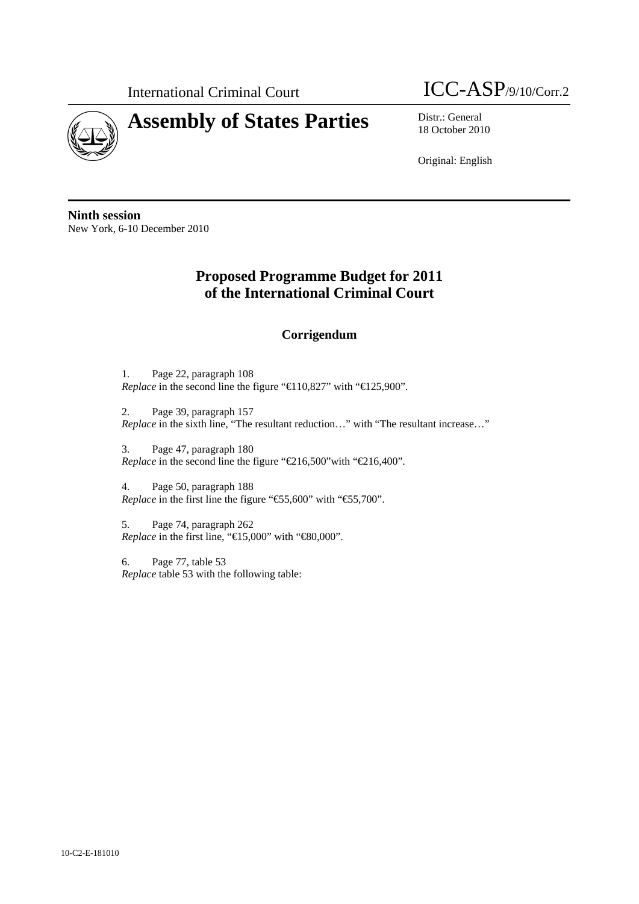

## International Criminal Court ICC-ASP/9/10/Corr.2

18 October 2010

Original: English

**Ninth session**  New York, 6-10 December 2010

## **Proposed Programme Budget for 2011 of the International Criminal Court**

## **Corrigendum**

1. Page 22, paragraph 108 *Replace* in the second line the figure "€110,827" with "€125,900".

2. Page 39, paragraph 157 *Replace* in the sixth line, "The resultant reduction…" with "The resultant increase…"

3. Page 47, paragraph 180 *Replace* in the second line the figure "€216,500"with "€216,400".

4. Page 50, paragraph 188 *Replace* in the first line the figure "€5,600" with "€5,700".

5. Page 74, paragraph 262 *Replace* in the first line, " $\bigoplus 5,000$ " with " $\bigoplus 0,000$ ".

6. Page 77, table 53 *Replace* table 53 with the following table: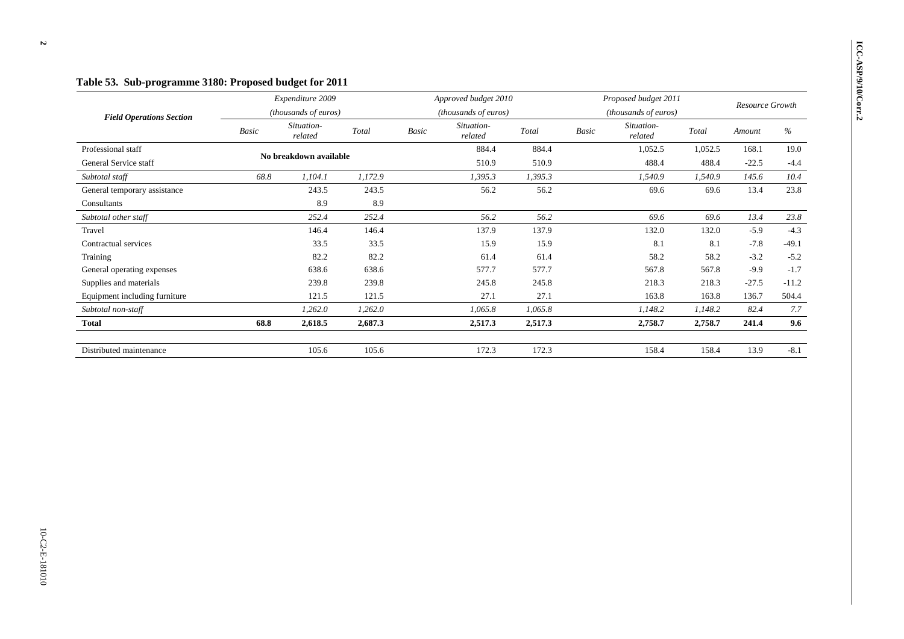| <b>Field Operations Section</b> | Expenditure 2009<br>(thousands of euros) |                        |         | Approved budget 2010<br>(thousands of euros) |         |         | Proposed budget 2011<br>(thousands of euros) |         |         | Resource Growth |         |
|---------------------------------|------------------------------------------|------------------------|---------|----------------------------------------------|---------|---------|----------------------------------------------|---------|---------|-----------------|---------|
|                                 |                                          |                        |         |                                              |         |         |                                              |         |         |                 |         |
|                                 | Professional staff                       | No breakdown available |         |                                              |         | 884.4   | 884.4                                        |         | 1,052.5 | 1,052.5         | 168.1   |
| General Service staff           |                                          |                        |         |                                              | 510.9   | 510.9   |                                              | 488.4   | 488.4   | $-22.5$         | $-4.4$  |
| Subtotal staff                  | 68.8                                     | 1,104.1                | 1,172.9 |                                              | 1,395.3 | 1,395.3 |                                              | 1,540.9 | 1,540.9 | 145.6           | 10.4    |
| General temporary assistance    |                                          | 243.5                  | 243.5   |                                              | 56.2    | 56.2    |                                              | 69.6    | 69.6    | 13.4            | 23.8    |
| Consultants                     |                                          | 8.9                    | 8.9     |                                              |         |         |                                              |         |         |                 |         |
| Subtotal other staff            |                                          | 252.4                  | 252.4   |                                              | 56.2    | 56.2    |                                              | 69.6    | 69.6    | 13.4            | 23.8    |
| Travel                          |                                          | 146.4                  | 146.4   |                                              | 137.9   | 137.9   |                                              | 132.0   | 132.0   | $-5.9$          | $-4.3$  |
| Contractual services            |                                          | 33.5                   | 33.5    |                                              | 15.9    | 15.9    |                                              | 8.1     | 8.1     | $-7.8$          | $-49.1$ |
| Training                        |                                          | 82.2                   | 82.2    |                                              | 61.4    | 61.4    |                                              | 58.2    | 58.2    | $-3.2$          | $-5.2$  |
| General operating expenses      |                                          | 638.6                  | 638.6   |                                              | 577.7   | 577.7   |                                              | 567.8   | 567.8   | $-9.9$          | $-1.7$  |
| Supplies and materials          |                                          | 239.8                  | 239.8   |                                              | 245.8   | 245.8   |                                              | 218.3   | 218.3   | $-27.5$         | $-11.2$ |
| Equipment including furniture   |                                          | 121.5                  | 121.5   |                                              | 27.1    | 27.1    |                                              | 163.8   | 163.8   | 136.7           | 504.4   |
| Subtotal non-staff              |                                          | 1,262.0                | 1,262.0 |                                              | 1,065.8 | 1,065.8 |                                              | 1,148.2 | 1,148.2 | 82.4            | 7.7     |
| <b>Total</b>                    | 68.8                                     | 2,618.5                | 2,687.3 |                                              | 2,517.3 | 2,517.3 |                                              | 2,758.7 | 2,758.7 | 241.4           | 9.6     |